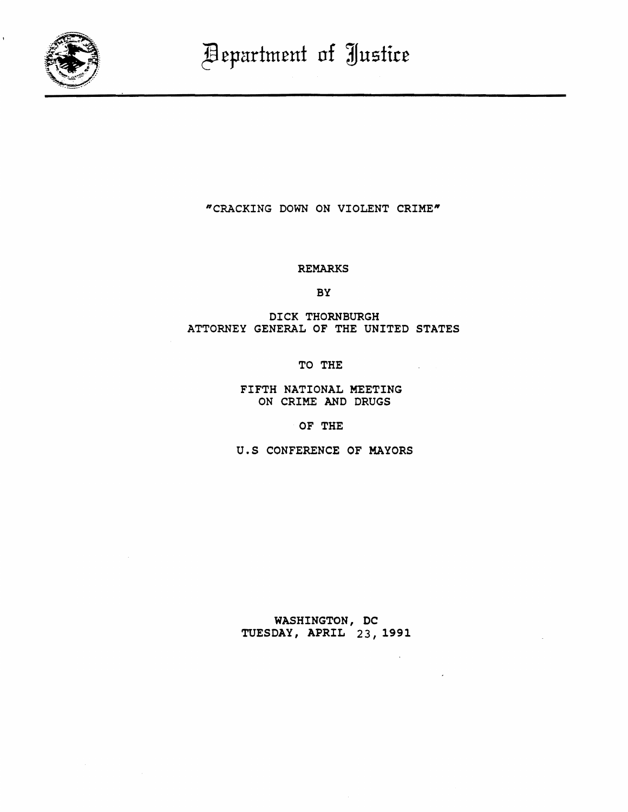

1

"CRACKING DOWN ON VIOLENT CRIME"

## REMARKS

BY

DICK THORNBURGH ATTORNEY GENERAL OF THE UNITED STATES

TO THE

FIFTH NATIONAL MEETING ON CRIME AND DRUGS

OF THE

u.S CONFERENCE OF MAYORS

WASHINGTON, DC TUESDAY, APRIL 23, 1991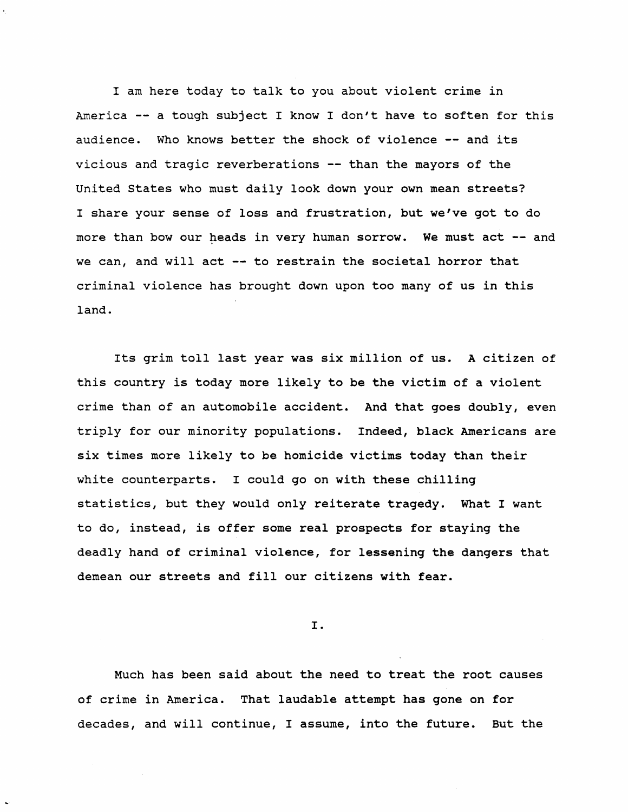I am here today to talk to you about violent crime in America -- a tough subject I know I don't have to soften for this audience. Who knows better the shock of violence -- and its vicious and tragic reverberations -- than the mayors of the united states who must daily look down your own mean streets? I share your sense of loss and frustration, but we've got to do more than bow our heads in very human sorrow. We must act -- and we can, and will act -- to restrain the societal horror that criminal violence has brought down upon too many of us in this land.

Its grim toll last year was six million of us. A citizen of this country is today more likely to be the victim of a violent crime than of an automobile accident. And that goes doubly, even triply for our minority populations. Indeed, black Americans are six times more likely to be homicide victims today than their white counterparts. I could go on with these chilling statistics, but they would only reiterate tragedy. What I want to do, instead, is offer some real prospects for staying the deadly hand of criminal violence, for lessening the dangers that demean our streets and fill our citizens with fear.

I.

Much has been said about the need to treat the root causes of crime in America. That laudable attempt has gone on for decades, and will continue, I assume, into the future. But the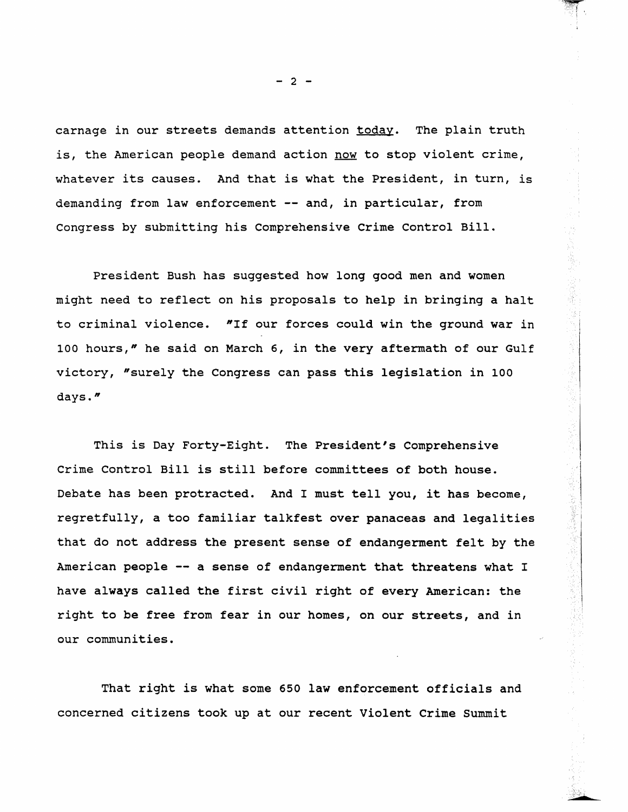carnage in our streets demands attention today. The plain truth is, the American people demand action now to stop violent crime, whatever its causes. And that is what the President, in turn, is demanding from law enforcement -- and, in particular, from Congress by submitting his Comprehensive crime Control Bill.

President Bush has suggested how long good men and women might need to reflect on his proposals to help in bringing a halt to criminal violence. "If our forces could win the ground war in 100 hours," he said on March 6, in the very aftermath of our Gulf victory, "surely the Congress can pass this legislation in 100 days."

This is Day Forty-Eight. The President's Comprehensive Crime Control Bill is still before committees of both house. Debate has been protracted. And I must tell you, it has become, regretfully, a too familiar talkfest over panaceas and legalities that do not address the present sense of endangerment felt by the American people -- a sense of endangerment that threatens what I have always called the first civil right of every American: the right to be free from fear in our homes, on our streets, and in our communities.

That right is what some 650 law enforcement officials and concerned citizens took up at our recent Violent Crime Summit

 $- 2 -$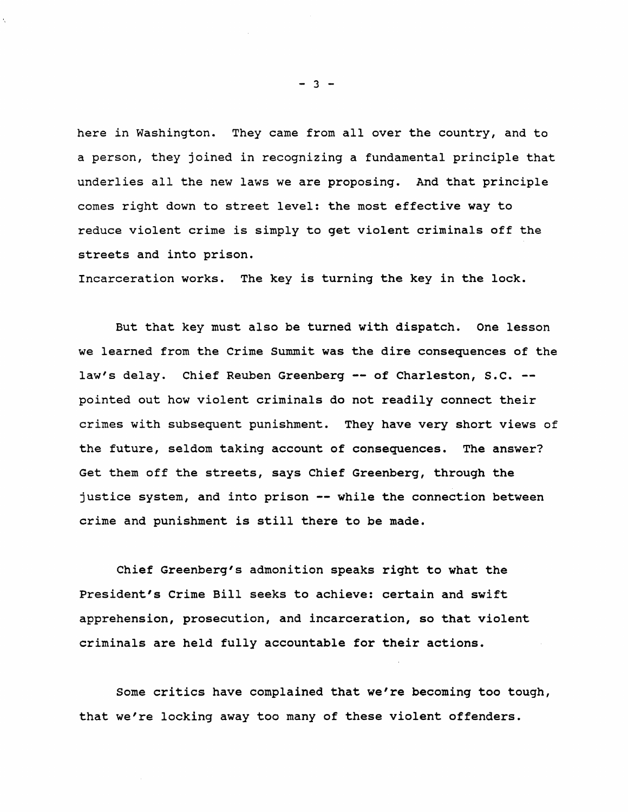here in Washington. They came from all over the country, and to a person, they joined in recognizing a fundamental principle that underlies all the new laws we are proposing. And that principle comes right down to street level: the most effective way to reduce violent crime is simply to get violent criminals off the streets and into prison.

Incarceration works. The key is turning the key in the lock.

But that key must also be turned with dispatch. One lesson we learned from the Crime summit was the dire consequences of the law's delay. Chief Reuben Greenberg -- of Charleston, S.C. -pointed out how violent criminals do not readily connect their crimes with subsequent punishment. They have very short views of the future, seldom taking account of consequences. The answer? Get them off the streets, says Chief Greenberg, through the justice system, and into prison -- while the connection between crime and punishment is still there to be made.

Chief Greenberg's admonition speaks right to what the President's Crime Bill seeks to achieve: certain and swift apprehension, prosecution, and incarceration, so that violent criminals are held fully accountable for their actions.

Some critics have complained that we're becoming too tough, that we're locking away too many of these violent offenders.

 $- 3 -$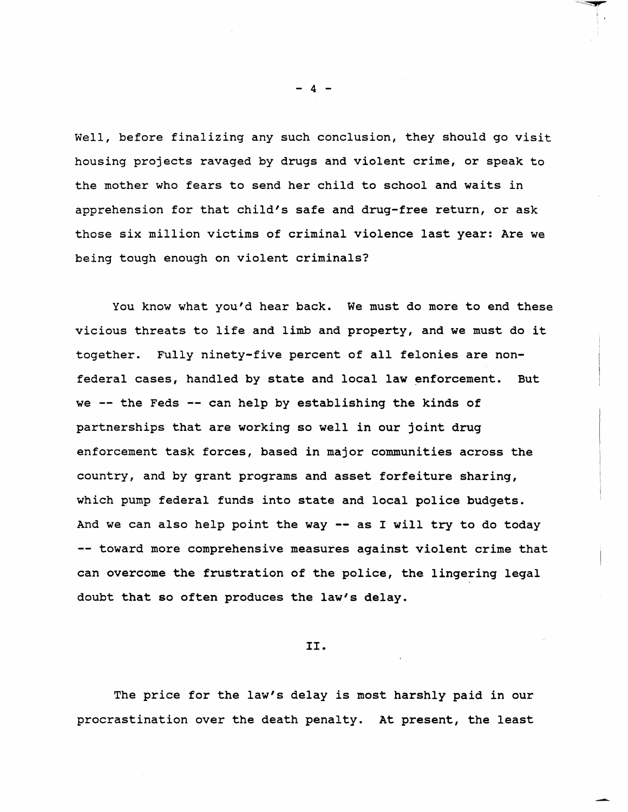Well, before finalizing any such conclusion, they should go visit housing projects ravaged by drugs and violent crime, or speak to the mother who fears to send her child to school and waits in apprehension for that child's safe and drug-free return, or ask those six million victims of criminal violence last year: Are we being tough enough on violent criminals?

You know what you'd hear back. We must do more to end these vicious threats to life and limb and property, and we must do it together. Fully ninety-five percent of all felonies are nonfederal cases, handled by state and local law enforcement. But we  $-$  the Feds  $-$  can help by establishing the kinds of partnerships that are working so well in our joint drug enforcement task forces, based in major communities across the country, and by grant programs and asset forfeiture sharing, which pump federal funds into state and local police budgets. And we can also help point the way -- as I will try to do today -- toward more comprehensive measures against violent crime that can overcome the frustration of the police, the lingering legal doubt that so often produces the law's delay.

II.

The price for the law's delay is most harshly paid in our procrastination over the death penalty. At present, the least

 $-4$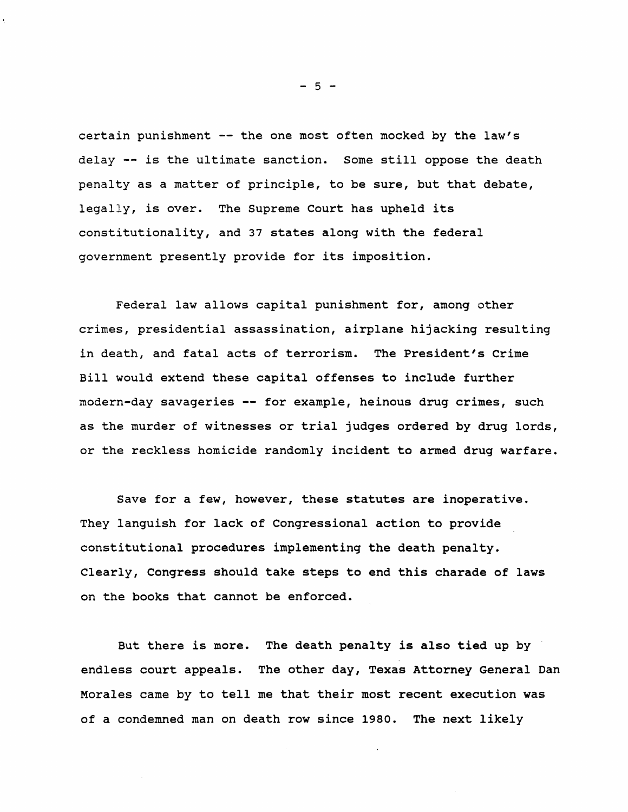certain punishment -- the one most often mocked by the law's delay -- is the ultimate sanction. Some still oppose the death penalty as a matter of principle, to be sure, but that debate, legally, is over. The Supreme Court has upheld its constitutionality, and 37 states along with the federal government presently provide for its imposition.

Federal law allows capital punishment for, among other crimes, presidential assassination, airplane hijacking resulting in death, and fatal acts of terrorism. The President's Crime Bill would extend these capital offenses to include further modern-day savageries -- for example, heinous drug crimes, such as the murder of witnesses or trial judges ordered by drug lords, or the reckless homicide randomly incident to armed drug warfare.

Save for a few, however, these statutes are inoperative. They languish for lack of Congressional action to provide constitutional procedures implementing the death penalty. Clearly, Congress should take steps to end this charade of laws on the books that cannot be enforced.

But there is more. The death penalty is also tied up by endless court appeals. The other day, Texas Attorney General Dan Morales came by to tell me that their most recent execution was of a condemned man on death row since 1980. The next likely

 $-5 -$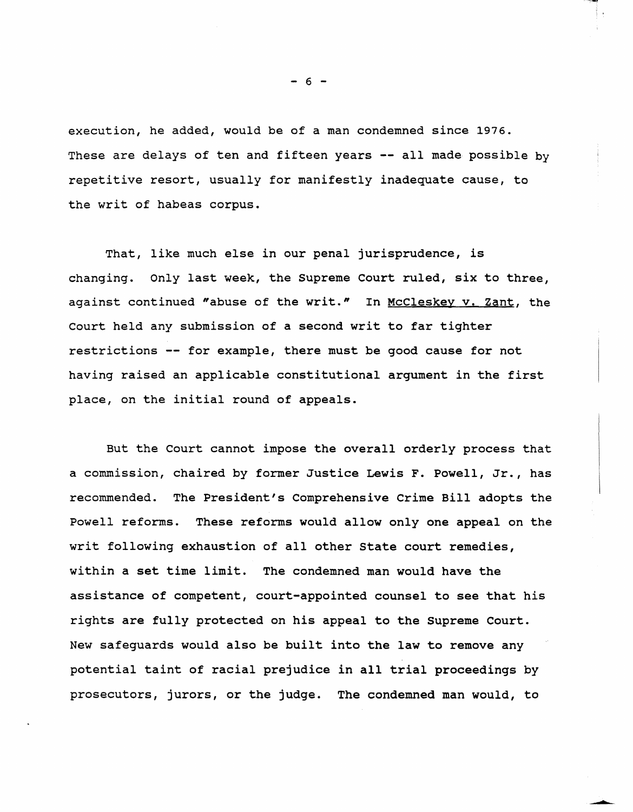execution, he added, would be of a man condemned since 1976. These are delays of ten and fifteen years -- all made possible by repetitive resort, usually for manifestly inadequate cause, to the writ of habeas corpus.

That, like much else in our penal jurisprudence, is changing. Only last week, the Supreme Court ruled, six to three, against continued "abuse of the writ." In McCleskey v. Zant, the Court held any submission of a second writ to far tighter restrictions -- for example, there must be good cause for not having raised an applicable constitutional argument in the first place, on the initial round of appeals.

But the Court cannot impose the overall orderly process that a commission, chaired by former Justice Lewis F. Powell, Jr., has recommended. The President's Comprehensive Crime Bill adopts the Powell reforms. These reforms would allow only one appeal on the writ following exhaustion of all other State court remedies, within a set time limit. The condemned man would have the assistance of competent, court-appointed counsel to see that his rights are fully protected on his appeal to the Supreme Court. New safeguards would also be built into the law to remove any potential taint of racial prejudice in all trial proceedings by prosecutors, jurors, or the judge. The condemned man would, to

 $- 6 -$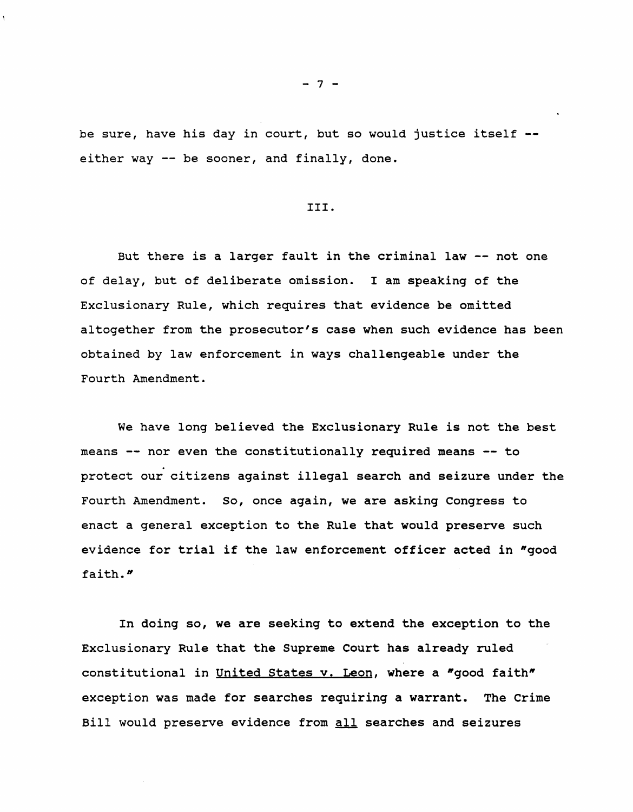be sure, have his day in court, but so would justice itself either way -- be sooner, and finally, done.

## III.

But there is a larger fault in the criminal law  $-$ - not one of delay, but of deliberate omission. I am speaking of the Exclusionary Rule, which requires that evidence be omitted altogether from the prosecutor's case when such evidence has been obtained by law enforcement in ways challengeable under the Fourth Amendment.

We have long believed the Exclusionary Rule is not the best means -- nor even the constitutionally required means -- to protect our citizens against illegal search and seizure under the Fourth Amendment. So, once again, we are asking Congress to enact a general exception to the Rule that would preserve such evidence for trial if the law enforcement officer acted in "good faith."

In doing so, we are seeking to extend the exception to the Exclusionary Rule that the Supreme Court has already ruled constitutional in United States v. Leon, where a "good faith" exception was made for searches requiring a warrant. The Crime Bill would preserve evidence from all searches and seizures

 $-7 -$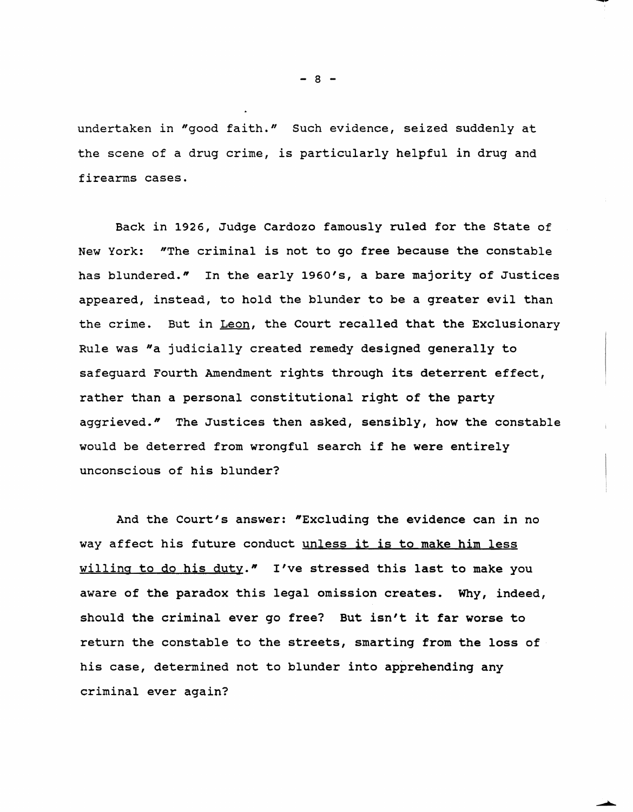undertaken in "good faith." Such evidence, seized suddenly at the scene of a drug crime, *is* particularly helpful in drug and firearms cases.

Back *in* 1926, Judge Cardozo famously ruled for the State of New York: "The criminal is not to go free because the constable has blundered." In the early 1960's, a bare majority of Justices appeared, instead, to hold the blunder to be a greater evil than the crime. But *in* Leon, the Court recalled that the Exclusionary Rule was "a judicially created remedy designed generally to safeguard Fourth Amendment rights through its deterrent effect, rather than a personal constitutional right of the party aggrieved." The Justices then asked, sensibly, how the constable would be deterred from wrongful search if he were entirely unconscious of his blunder?

And the Court's answer: "Excluding the evidence can in no way affect his future conduct unless it is to make him less willing to do his duty." I've stressed this last to make you aware of the paradox this legal omission creates. Why, indeed, should the criminal ever go free? But isn't it far worse to return the constable to the streets, smarting from the loss of his case, determined not to blunder into apprehending any criminal ever again?

 $- 8 -$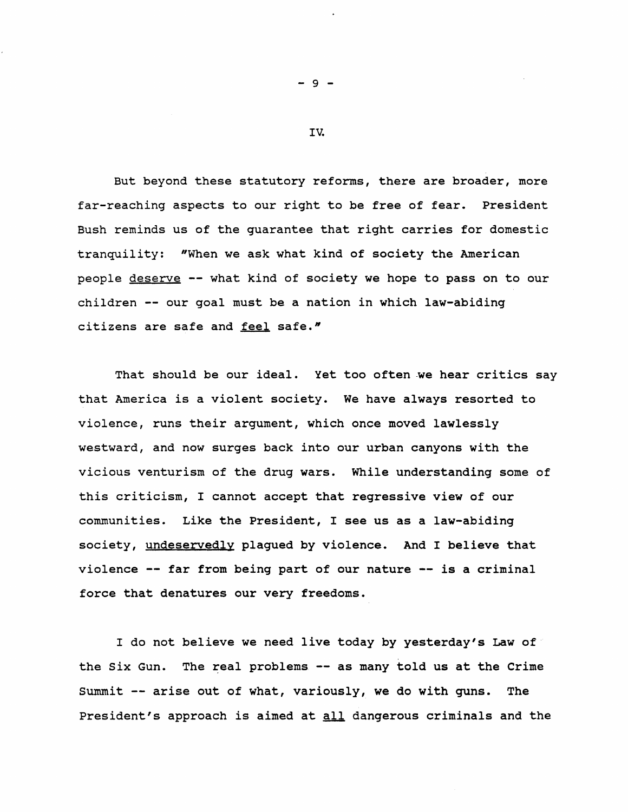But beyond these statutory reforms, there are broader, more far-reaching aspects to our right to be free of fear. President Bush reminds us of the guarantee that right carries for domestic tranquility: "When we ask what kind of society the American people deserve -- what kind of society we hope to pass on to our children -- our goal must be a nation in which law-abiding citizens are safe and feel safe."

That should be our ideal. Yet too often we hear critics say that America is a violent society. We have always resorted to violence, runs their argument, which once moved lawlessly westward, and now surges back into our urban canyons with the vicious venturism of the drug wars. While understanding some of this criticism, I cannot accept that regressive view of our communities. Like the President, I see us as a law-abiding society, undeservedly plagued by violence. And I believe that violence -- far from being part of our nature -- is a criminal force that denatures our very freedoms.

I do not believe we need live today by yesterday's Law of the six Gun. The real problems -- as many told us at the Crime Summit -- arise out of what, variously, we do with guns. The President's approach is aimed at all dangerous criminals and the

 $-9 -$ 

IV.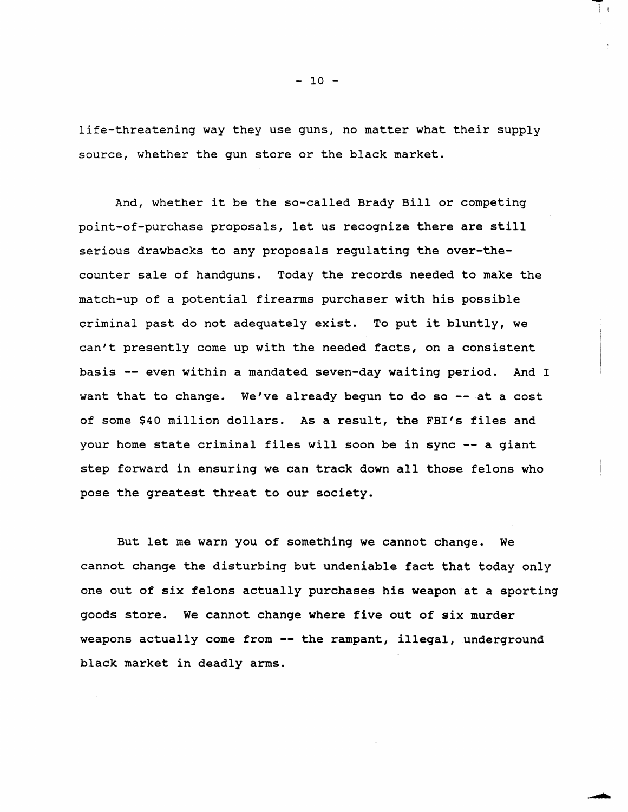life-threatening way they use guns, no matter what their supply source, whether the gun store or the black market.

And, whether it be the so-called Brady Bill or competing point-of-purchase proposals, let us recognize there are still serious drawbacks to any proposals regulating the over-thecounter sale of handguns. Today the records needed to make the match-up of a potential firearms purchaser with his possible criminal past do not adequately exist. To put it bluntly, we can't presently come up with the needed facts, on a consistent basis -- even within a mandated seven-day waiting period. And I want that to change. We've already begun to do so  $-$  at a cost of some \$40 million dollars. As a result, the FBI's files and your home state criminal files will soon be in sync -- a giant step forward in ensuring we can track down all those felons who pose the greatest threat to our society.

But let me warn you of something we cannot change. We cannot change the disturbing but undeniable fact that today only one out of six felons actually purchases his weapon at a sporting goods store. We cannot change where five out of six murder weapons actually come from -- the rampant, illegal, underground black market in deadly arms.

 $- 10 -$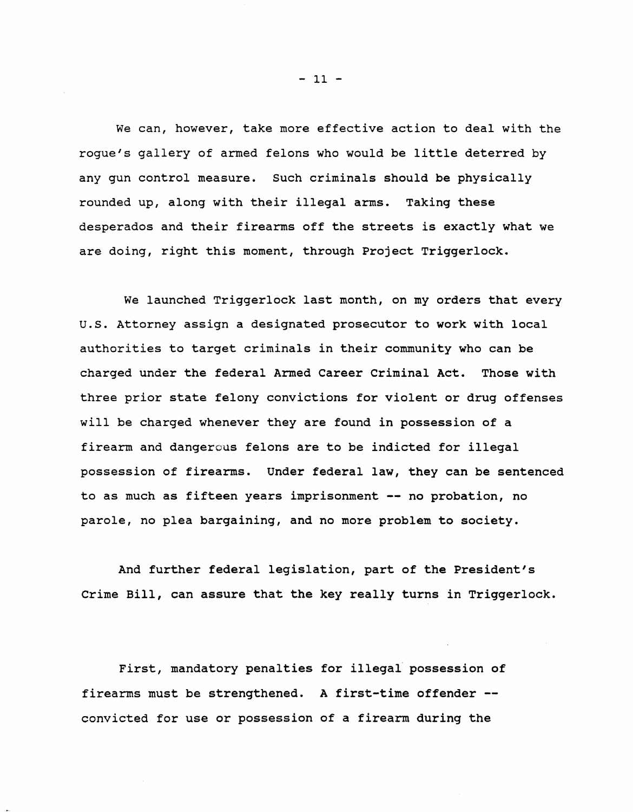We can, however, take more effective action to deal with the rogue's gallery of armed felons who would be little deterred by any gun control measure. Such criminals should be physically rounded up, along with their illegal arms. Taking these desperados and their firearms off the streets is exactly what we are doing, right this moment, through Project Triggerlock.

We launched Triggerlock last month, on my orders that every u.S. Attorney assign a designated prosecutor to work with local authorities to target criminals in their community who can be charged under the federal Armed Career Criminal Act. Those with three prior state felony convictions for violent or drug offenses will be charged whenever they are found in possession of a firearm and dangerous felons are to be indicted for illegal possession of firearms. Under federal law, they can be sentenced to as much as fifteen years imprisonment -- no probation, no parole, no plea bargaining, and no more problem to society.

And further federal legislation, part of the President's Crime Bill, can assure that the key really turns in Triggerlock.

First, mandatory penalties for illegal' possession of firearms must be strengthened. A first-time offender convicted for use or possession of a firearm during the

 $-11 -$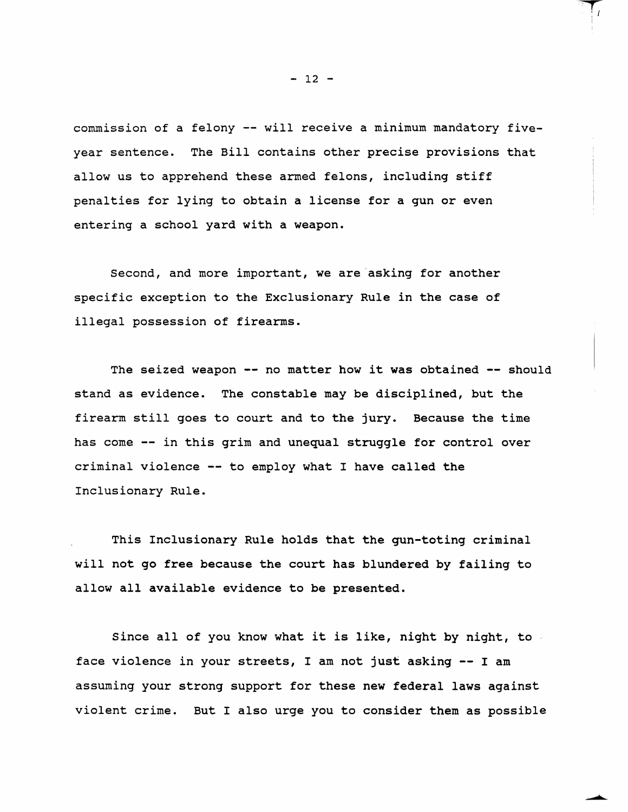commission of a felony -- will receive a minimum mandatory fiveyear sentence. The Bill contains other precise provisions that allow us to apprehend these armed felons, including stiff penalties for lying to obtain a license for a gun or even entering a school yard with a weapon.

Second, and more important, we are asking for another specific exception to the Exclusionary Rule in the case of illegal possession of firearms.

The seized weapon -- no matter how it was obtained -- should stand as evidence. The constable may be disciplined, but the firearm still goes to court and to the jury. Because the time has come -- in this grim and unequal struggle for control over criminal violence -- to employ what I have called the Inclusionary Rule.

This Inclusionary Rule holds that the gun-toting criminal will not go free because the court has blundered by failing to allow all available evidence to be presented.

Since all of you know what it is like, night by night, to face violence in your streets, I am not just asking -- I am assuming your strong support for these new federal laws against violent crime. But I also urge you to consider them as possible

 $- 12 -$ 

 $\Box$